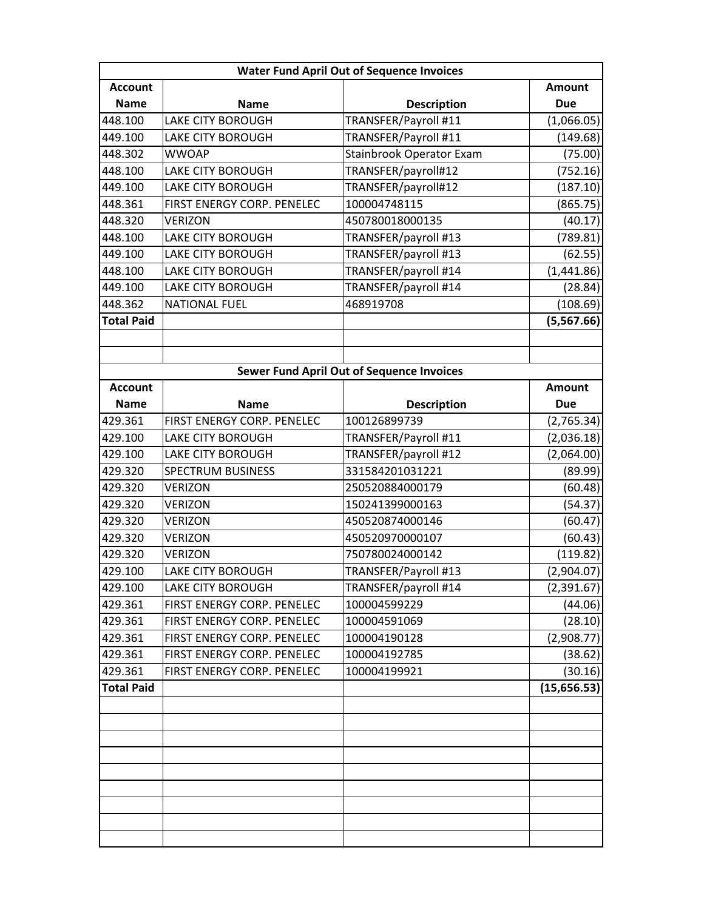| <b>Water Fund April Out of Sequence Invoices</b> |                            |                                                  |               |  |
|--------------------------------------------------|----------------------------|--------------------------------------------------|---------------|--|
| <b>Account</b>                                   |                            |                                                  | <b>Amount</b> |  |
| <b>Name</b>                                      | <b>Name</b>                | <b>Description</b>                               | <b>Due</b>    |  |
| 448.100                                          | <b>LAKE CITY BOROUGH</b>   | TRANSFER/Payroll #11                             | (1,066.05)    |  |
| 449.100                                          | LAKE CITY BOROUGH          | TRANSFER/Payroll #11                             | (149.68)      |  |
| 448.302                                          | <b>WWOAP</b>               | Stainbrook Operator Exam                         | (75.00)       |  |
| 448.100                                          | LAKE CITY BOROUGH          | TRANSFER/payroll#12                              | (752.16)      |  |
| 449.100                                          | <b>LAKE CITY BOROUGH</b>   | TRANSFER/payroll#12                              | (187.10)      |  |
| 448.361                                          | FIRST ENERGY CORP. PENELEC | 100004748115                                     | (865.75)      |  |
| 448.320                                          | VERIZON                    | 450780018000135                                  | (40.17)       |  |
| 448.100                                          | LAKE CITY BOROUGH          | TRANSFER/payroll #13                             | (789.81)      |  |
| 449.100                                          | <b>LAKE CITY BOROUGH</b>   | TRANSFER/payroll #13                             | (62.55)       |  |
| 448.100                                          | LAKE CITY BOROUGH          | TRANSFER/payroll #14                             | (1,441.86)    |  |
| 449.100                                          | LAKE CITY BOROUGH          | TRANSFER/payroll #14                             | (28.84)       |  |
| 448.362                                          | <b>NATIONAL FUEL</b>       | 468919708                                        | (108.69)      |  |
| <b>Total Paid</b>                                |                            |                                                  | (5,567.66)    |  |
|                                                  |                            |                                                  |               |  |
|                                                  |                            |                                                  |               |  |
|                                                  |                            | <b>Sewer Fund April Out of Sequence Invoices</b> |               |  |
| <b>Account</b>                                   |                            |                                                  | <b>Amount</b> |  |
| <b>Name</b>                                      | <b>Name</b>                | <b>Description</b>                               | <b>Due</b>    |  |
| 429.361                                          | FIRST ENERGY CORP. PENELEC | 100126899739                                     | (2,765.34)    |  |
| 429.100                                          | LAKE CITY BOROUGH          | TRANSFER/Payroll #11                             | (2,036.18)    |  |
| 429.100                                          | LAKE CITY BOROUGH          | TRANSFER/payroll #12                             | (2,064.00)    |  |
| 429.320                                          | SPECTRUM BUSINESS          | 331584201031221                                  | (89.99)       |  |
| 429.320                                          | <b>VERIZON</b>             | 250520884000179                                  | (60.48)       |  |
| 429.320                                          | <b>VERIZON</b>             | 150241399000163                                  | (54.37)       |  |
| 429.320                                          | <b>VERIZON</b>             | 450520874000146                                  | (60.47)       |  |
| 429.320                                          | <b>VERIZON</b>             | 450520970000107                                  | (60.43)       |  |
| 429.320                                          | <b>VERIZON</b>             | 750780024000142                                  | (119.82)      |  |
| 429.100                                          | LAKE CITY BOROUGH          | TRANSFER/Payroll #13                             | (2,904.07)    |  |
| 429.100                                          | LAKE CITY BOROUGH          | TRANSFER/payroll #14                             | (2,391.67)    |  |
| 429.361                                          | FIRST ENERGY CORP. PENELEC | 100004599229                                     | (44.06)       |  |
| 429.361                                          | FIRST ENERGY CORP. PENELEC | 100004591069                                     | (28.10)       |  |
| 429.361                                          | FIRST ENERGY CORP. PENELEC | 100004190128                                     | (2,908.77)    |  |
| 429.361                                          | FIRST ENERGY CORP. PENELEC | 100004192785                                     | (38.62)       |  |
| 429.361                                          | FIRST ENERGY CORP. PENELEC | 100004199921                                     | (30.16)       |  |
| <b>Total Paid</b>                                |                            |                                                  | (15, 656.53)  |  |
|                                                  |                            |                                                  |               |  |
|                                                  |                            |                                                  |               |  |
|                                                  |                            |                                                  |               |  |
|                                                  |                            |                                                  |               |  |
|                                                  |                            |                                                  |               |  |
|                                                  |                            |                                                  |               |  |
|                                                  |                            |                                                  |               |  |
|                                                  |                            |                                                  |               |  |
|                                                  |                            |                                                  |               |  |